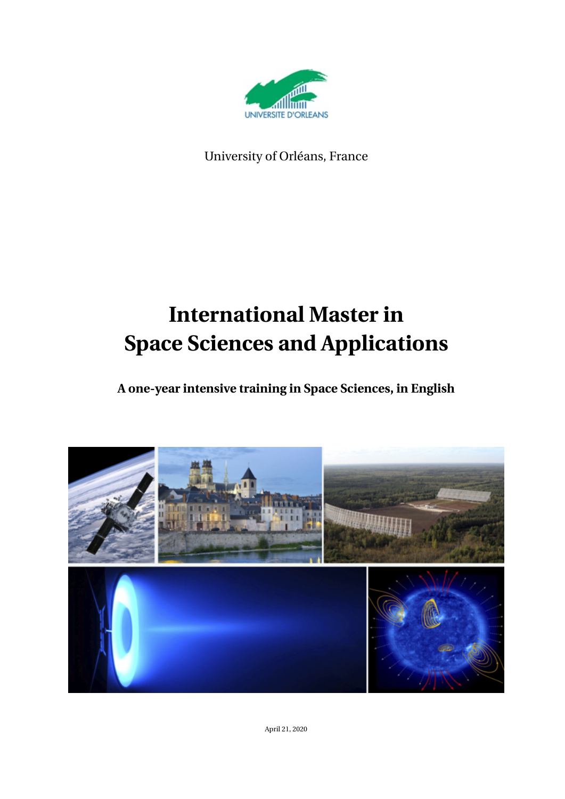

University of Orléans, France

# **International Master in Space Sciences and Applications**

**A one-year intensive training in Space Sciences, in English**



April 21, 2020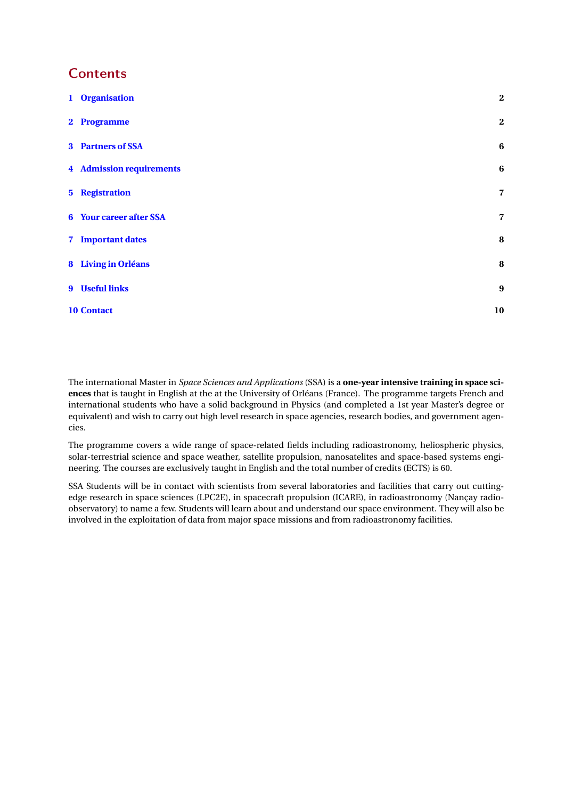### **Contents**

| 1 Organisation                  | $\overline{2}$          |
|---------------------------------|-------------------------|
| 2 Programme                     | $\boldsymbol{2}$        |
| 3 Partners of SSA               | $\boldsymbol{6}$        |
| <b>4</b> Admission requirements | $\boldsymbol{6}$        |
| <b>5</b> Registration           | $\overline{7}$          |
| <b>6</b> Your career after SSA  | $\overline{\mathbf{z}}$ |
| 7 Important dates               | $\bf{8}$                |
| 8 Living in Orléans             | 8                       |
| 9 Useful links                  | $\boldsymbol{9}$        |
| <b>10 Contact</b>               | 10                      |

The international Master in *Space Sciences and Applications* (SSA) is a **one-year intensive training in space sciences** that is taught in English at the at the University of Orléans (France). The programme targets French and international students who have a solid background in Physics (and completed a 1st year Master's degree or equivalent) and wish to carry out high level research in space agencies, research bodies, and government agencies.

The programme covers a wide range of space-related fields including radioastronomy, heliospheric physics, solar-terrestrial science and space weather, satellite propulsion, nanosatelites and space-based systems engineering. The courses are exclusively taught in English and the total number of credits (ECTS) is 60.

SSA Students will be in contact with scientists from several laboratories and facilities that carry out cuttingedge research in space sciences (LPC2E), in spacecraft propulsion (ICARE), in radioastronomy (Nançay radioobservatory) to name a few. Students will learn about and understand our space environment. They will also be involved in the exploitation of data from major space missions and from radioastronomy facilities.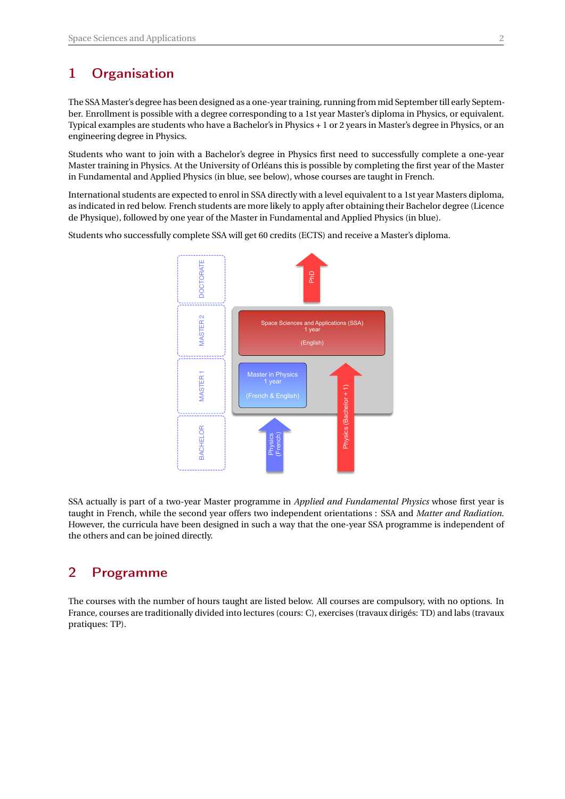### <span id="page-2-0"></span>1 Organisation

The SSA Master's degree has been designed as a one-year training, running from mid September till early September. Enrollment is possible with a degree corresponding to a 1st year Master's diploma in Physics, or equivalent. Typical examples are students who have a Bachelor's in Physics + 1 or 2 years in Master's degree in Physics, or an engineering degree in Physics.

Students who want to join with a Bachelor's degree in Physics first need to successfully complete a one-year Master training in Physics. At the University of Orléans this is possible by completing the first year of the Master in Fundamental and Applied Physics (in blue, see below), whose courses are taught in French.

International students are expected to enrol in SSA directly with a level equivalent to a 1st year Masters diploma, as indicated in red below. French students are more likely to apply after obtaining their Bachelor degree (Licence de Physique), followed by one year of the Master in Fundamental and Applied Physics (in blue).

Students who successfully complete SSA will get 60 credits (ECTS) and receive a Master's diploma.



SSA actually is part of a two-year Master programme in *Applied and Fundamental Physics* whose first year is taught in French, while the second year offers two independent orientations : SSA and *Matter and Radiation*. However, the curricula have been designed in such a way that the one-year SSA programme is independent of the others and can be joined directly.

### <span id="page-2-1"></span>2 Programme

The courses with the number of hours taught are listed below. All courses are compulsory, with no options. In France, courses are traditionally divided into lectures (cours: C), exercises (travaux dirigés: TD) and labs (travaux pratiques: TP).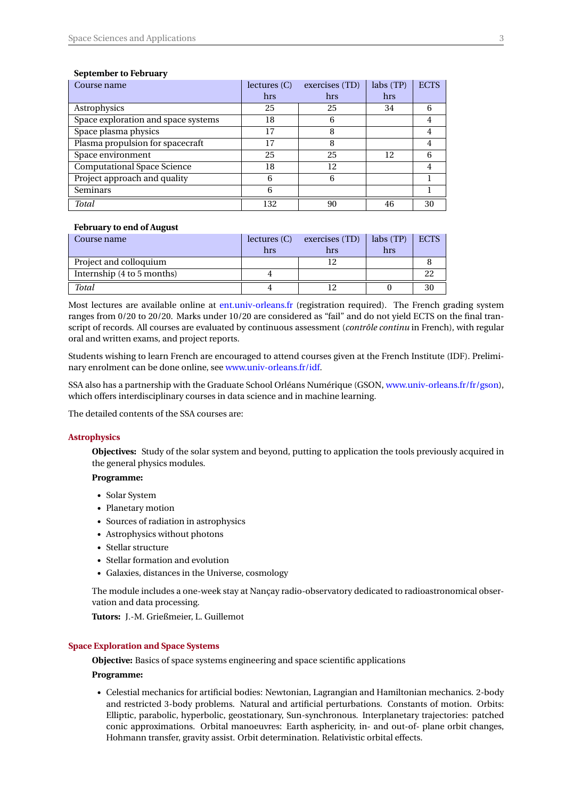#### **September to February**

| Course name                         | lectures (C) | exercises (TD) | labs(TP) | <b>ECTS</b> |
|-------------------------------------|--------------|----------------|----------|-------------|
|                                     | hrs          | hrs            | hrs      |             |
| Astrophysics                        | 25           | 25             | 34       | 6           |
| Space exploration and space systems | 18           | 6              |          | 4           |
| Space plasma physics                | 17           | 8              |          | 4           |
| Plasma propulsion for spacecraft    | 17           | 8              |          |             |
| Space environment                   | 25           | 25             | 12       | 6           |
| <b>Computational Space Science</b>  | 18           | 12             |          | 4           |
| Project approach and quality        | 6            | 6              |          |             |
| Seminars                            | 6            |                |          |             |
| <b>Total</b>                        | 132          | 90             | 46       | 30          |

#### **February to end of August**

| Course name                | lectures (C) | exercises (TD) | labs(TP) | <b>ECTS</b> |
|----------------------------|--------------|----------------|----------|-------------|
|                            | hrs          | hrs            | hrs      |             |
| Project and colloquium     |              |                |          |             |
| Internship (4 to 5 months) |              |                |          |             |
| <b>Total</b>               |              |                |          |             |

Most lectures are available online at [ent.univ-orleans.fr](http://ent.univ-orleans.fr) (registration required). The French grading system ranges from 0/20 to 20/20. Marks under 10/20 are considered as "fail" and do not yield ECTS on the final transcript of records. All courses are evaluated by continuous assessment (*contrôle continu* in French), with regular oral and written exams, and project reports.

Students wishing to learn French are encouraged to attend courses given at the French Institute (IDF). Preliminary enrolment can be done online, see [www.univ-orleans.fr/idf.](http://www.univ-orleans.fr/idf)

SSA also has a partnership with the Graduate School Orléans Numérique (GSON, [www.univ-orleans.fr/fr/gson\)](http://www.univ-orleans.fr/fr/gson), which offers interdisciplinary courses in data science and in machine learning.

The detailed contents of the SSA courses are:

#### **Astrophysics**

**Objectives:** Study of the solar system and beyond, putting to application the tools previously acquired in the general physics modules.

#### **Programme:**

- *•* Solar System
- *•* Planetary motion
- *•* Sources of radiation in astrophysics
- *•* Astrophysics without photons
- *•* Stellar structure
- *•* Stellar formation and evolution
- *•* Galaxies, distances in the Universe, cosmology

The module includes a one-week stay at Nançay radio-observatory dedicated to radioastronomical observation and data processing.

**Tutors:** J.-M. Grießmeier, L. Guillemot

#### **Space Exploration and Space Systems**

**Objective:** Basics of space systems engineering and space scientific applications

#### **Programme:**

*•* Celestial mechanics for artificial bodies: Newtonian, Lagrangian and Hamiltonian mechanics. 2-body and restricted 3-body problems. Natural and artificial perturbations. Constants of motion. Orbits: Elliptic, parabolic, hyperbolic, geostationary, Sun-synchronous. Interplanetary trajectories: patched conic approximations. Orbital manoeuvres: Earth asphericity, in- and out-of- plane orbit changes, Hohmann transfer, gravity assist. Orbit determination. Relativistic orbital effects.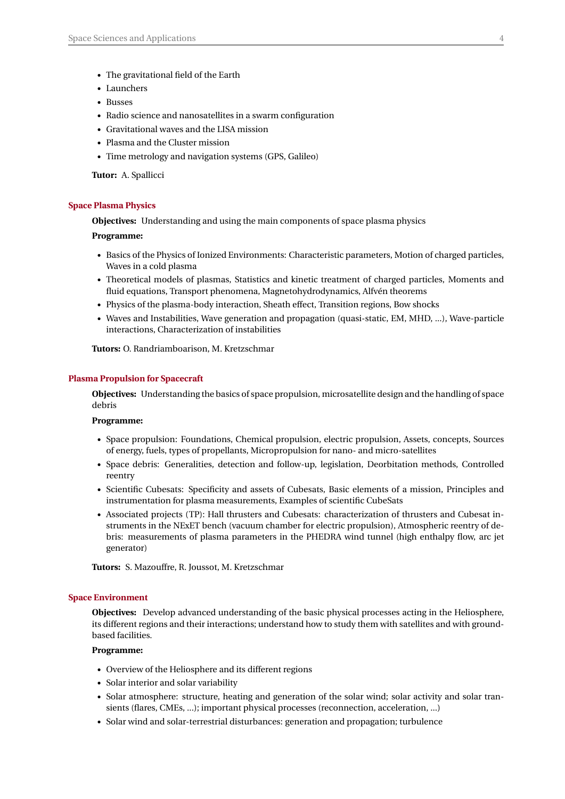- *•* The gravitational field of the Earth
- *•* Launchers
- *•* Busses
- *•* Radio science and nanosatellites in a swarm configuration
- *•* Gravitational waves and the LISA mission
- *•* Plasma and the Cluster mission
- *•* Time metrology and navigation systems (GPS, Galileo)

**Tutor:** A. Spallicci

#### **Space Plasma Physics**

**Objectives:** Understanding and using the main components of space plasma physics

#### **Programme:**

- *•* Basics of the Physics of Ionized Environments: Characteristic parameters, Motion of charged particles, Waves in a cold plasma
- *•* Theoretical models of plasmas, Statistics and kinetic treatment of charged particles, Moments and fluid equations, Transport phenomena, Magnetohydrodynamics, Alfvén theorems
- *•* Physics of the plasma-body interaction, Sheath effect, Transition regions, Bow shocks
- *•* Waves and Instabilities, Wave generation and propagation (quasi-static, EM, MHD, ...), Wave-particle interactions, Characterization of instabilities

**Tutors:** O. Randriamboarison, M. Kretzschmar

#### **Plasma Propulsion for Spacecraft**

**Objectives:** Understanding the basics of space propulsion, microsatellite design and the handling of space debris

#### **Programme:**

- *•* Space propulsion: Foundations, Chemical propulsion, electric propulsion, Assets, concepts, Sources of energy, fuels, types of propellants, Micropropulsion for nano- and micro-satellites
- *•* Space debris: Generalities, detection and follow-up, legislation, Deorbitation methods, Controlled reentry
- *•* Scientific Cubesats: Specificity and assets of Cubesats, Basic elements of a mission, Principles and instrumentation for plasma measurements, Examples of scientific CubeSats
- *•* Associated projects (TP): Hall thrusters and Cubesats: characterization of thrusters and Cubesat instruments in the NExET bench (vacuum chamber for electric propulsion), Atmospheric reentry of debris: measurements of plasma parameters in the PHEDRA wind tunnel (high enthalpy flow, arc jet generator)

**Tutors:** S. Mazouffre, R. Joussot, M. Kretzschmar

#### **Space Environment**

**Objectives:** Develop advanced understanding of the basic physical processes acting in the Heliosphere, its different regions and their interactions; understand how to study them with satellites and with groundbased facilities.

#### **Programme:**

- *•* Overview of the Heliosphere and its different regions
- *•* Solar interior and solar variability
- Solar atmosphere: structure, heating and generation of the solar wind; solar activity and solar transients (flares, CMEs, ...); important physical processes (reconnection, acceleration, ...)
- *•* Solar wind and solar-terrestrial disturbances: generation and propagation; turbulence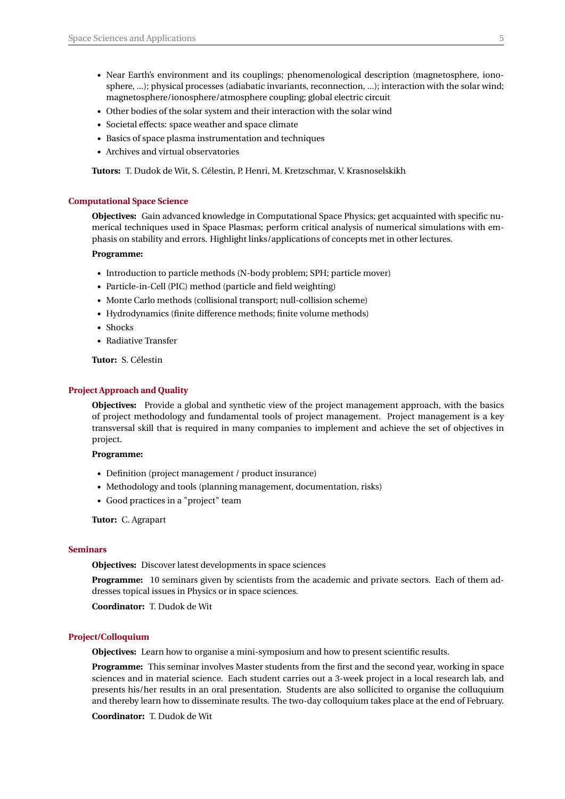- Near Earth's environment and its couplings; phenomenological description (magnetosphere, ionosphere, ...); physical processes (adiabatic invariants, reconnection, ...); interaction with the solar wind; magnetosphere/ionosphere/atmosphere coupling; global electric circuit
- *•* Other bodies of the solar system and their interaction with the solar wind
- *•* Societal effects: space weather and space climate
- *•* Basics of space plasma instrumentation and techniques
- *•* Archives and virtual observatories

**Tutors:** T. Dudok de Wit, S. Célestin, P. Henri, M. Kretzschmar, V. Krasnoselskikh

#### **Computational Space Science**

**Objectives:** Gain advanced knowledge in Computational Space Physics; get acquainted with specific numerical techniques used in Space Plasmas; perform critical analysis of numerical simulations with emphasis on stability and errors. Highlight links/applications of concepts met in other lectures.

#### **Programme:**

- *•* Introduction to particle methods (N-body problem; SPH; particle mover)
- *•* Particle-in-Cell (PIC) method (particle and field weighting)
- *•* Monte Carlo methods (collisional transport; null-collision scheme)
- *•* Hydrodynamics (finite difference methods; finite volume methods)
- *•* Shocks
- *•* Radiative Transfer

**Tutor:** S. Célestin

#### **Project Approach and Quality**

**Objectives:** Provide a global and synthetic view of the project management approach, with the basics of project methodology and fundamental tools of project management. Project management is a key transversal skill that is required in many companies to implement and achieve the set of objectives in project.

#### **Programme:**

- *•* Definition (project management / product insurance)
- *•* Methodology and tools (planning management, documentation, risks)
- *•* Good practices in a "project" team

**Tutor:** C. Agrapart

#### **Seminars**

**Objectives:** Discover latest developments in space sciences

**Programme:** 10 seminars given by scientists from the academic and private sectors. Each of them addresses topical issues in Physics or in space sciences.

**Coordinator:** T. Dudok de Wit

#### **Project/Colloquium**

**Objectives:** Learn how to organise a mini-symposium and how to present scientific results.

**Programme:** This seminar involves Master students from the first and the second year, working in space sciences and in material science. Each student carries out a 3-week project in a local research lab, and presents his/her results in an oral presentation. Students are also sollicited to organise the colluquium and thereby learn how to disseminate results. The two-day colloquium takes place at the end of February.

**Coordinator:** T. Dudok de Wit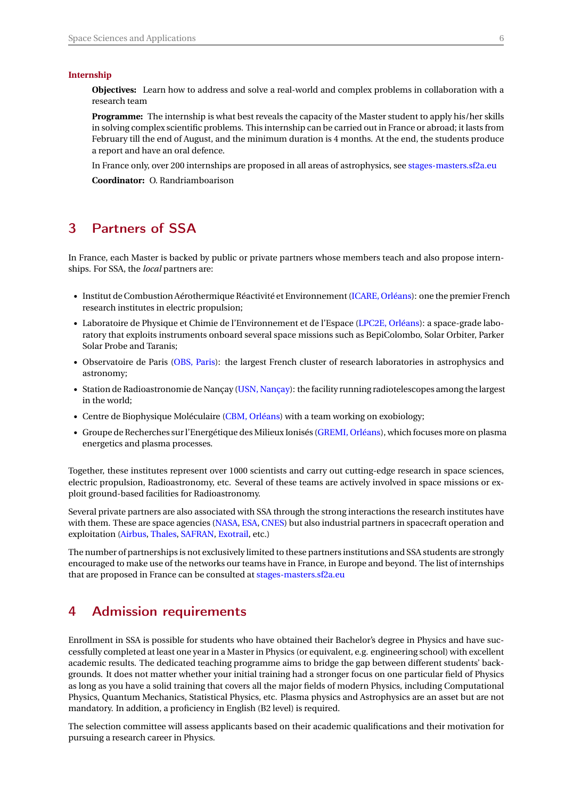#### **Internship**

**Objectives:** Learn how to address and solve a real-world and complex problems in collaboration with a research team

**Programme:** The internship is what best reveals the capacity of the Master student to apply his/her skills in solving complex scientific problems. This internship can be carried out in France or abroad; it lasts from February till the end of August, and the minimum duration is 4 months. At the end, the students produce a report and have an oral defence.

In France only, over 200 internships are proposed in all areas of astrophysics, see [stages-masters.sf2a.eu](http://stages-masters.sf2a.eu/search.php?type=MR)

**Coordinator:** O. Randriamboarison

### <span id="page-6-0"></span>3 Partners of SSA

In France, each Master is backed by public or private partners whose members teach and also propose internships. For SSA, the *local* partners are:

- *•* Institut de Combustion Aérothermique Réactivité et Environnement [\(ICARE, Orléans\)](http://www.icare.cnrs-orleans.fr/): one the premier French research institutes in electric propulsion;
- *•* Laboratoire de Physique et Chimie de l'Environnement et de l'Espace [\(LPC2E, Orléans\)](http://lpc2e.cnrs-orleans.fr): a space-grade laboratory that exploits instruments onboard several space missions such as BepiColombo, Solar Orbiter, Parker Solar Probe and Taranis;
- Observatoire de Paris [\(OBS, Paris\)](http://www.obspm.fr): the largest French cluster of research laboratories in astrophysics and astronomy;
- *•* Station de Radioastronomie de Nançay [\(USN, Nançay\)](http://www.obs-nancay.fr): the facility running radiotelescopes among the largest in the world;
- Centre de Biophysique Moléculaire [\(CBM, Orléans\)](http://cbm.cnrs-orleans.fr/) with a team working on exobiology;
- *•* Groupe de Recherches sur l'Energétique des Milieux Ionisés [\(GREMI, Orléans\)](https://www.univ-orleans.fr/gremi), which focuses more on plasma energetics and plasma processes.

Together, these institutes represent over 1000 scientists and carry out cutting-edge research in space sciences, electric propulsion, Radioastronomy, etc. Several of these teams are actively involved in space missions or exploit ground-based facilities for Radioastronomy.

Several private partners are also associated with SSA through the strong interactions the research institutes have with them. These are space agencies [\(NASA,](https://www.nasa.gov/) [ESA,](http://www.esa.int/) [CNES\)](https://cnes.fr/en) but also industrial partners in spacecraft operation and exploitation [\(Airbus,](https://www.airbus.com/space.html) [Thales,](https://www.thalesgroup.com/en) [SAFRAN,](https://www.safran-group.com/) [Exotrail,](https://exotrail.com/) etc.)

The number of partnerships is not exclusively limited to these partners institutions and SSA students are strongly encouraged to make use of the networks our teams have in France, in Europe and beyond. The list of internships that are proposed in France can be consulted at [stages-masters.sf2a.eu](http://stages-masters.sf2a.eu/search.php?type=MR)

### <span id="page-6-1"></span>4 Admission requirements

Enrollment in SSA is possible for students who have obtained their Bachelor's degree in Physics and have successfully completed at least one year in a Master in Physics (or equivalent, e.g. engineering school) with excellent academic results. The dedicated teaching programme aims to bridge the gap between different students' backgrounds. It does not matter whether your initial training had a stronger focus on one particular field of Physics as long as you have a solid training that covers all the major fields of modern Physics, including Computational Physics, Quantum Mechanics, Statistical Physics, etc. Plasma physics and Astrophysics are an asset but are not mandatory. In addition, a proficiency in English (B2 level) is required.

The selection committee will assess applicants based on their academic qualifications and their motivation for pursuing a research career in Physics.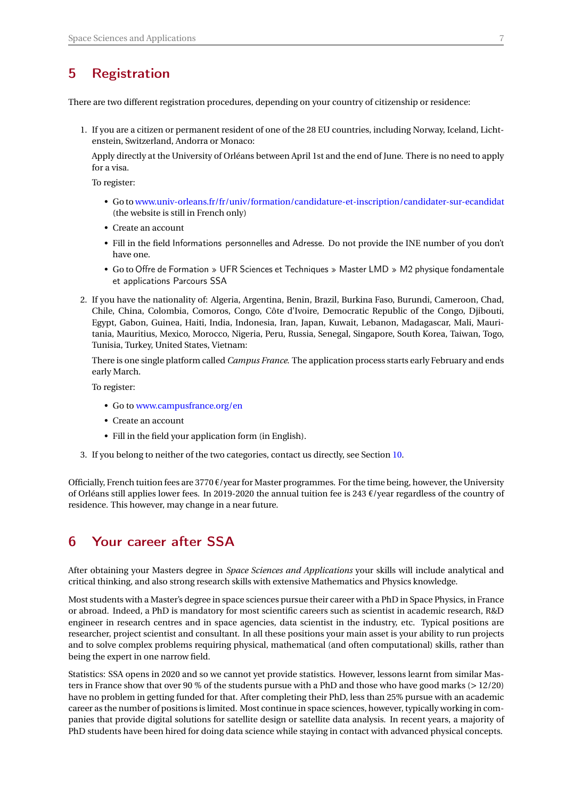### <span id="page-7-0"></span>5 Registration

There are two different registration procedures, depending on your country of citizenship or residence:

1. If you are a citizen or permanent resident of one of the 28 EU countries, including Norway, Iceland, Lichtenstein, Switzerland, Andorra or Monaco:

Apply directly at the University of Orléans between April 1st and the end of June. There is no need to apply for a visa.

To register:

- Go to [www.univ-orleans.fr/fr/univ/formation/candidature-et-inscription/candidater-sur-ecandidat](https://www.univ-orleans.fr/fr/univ/formation/candidature-et-inscription/candidater-sur-ecandidat) (the website is still in French only)
- Create an account
- Fill in the field Informations personnelles and Adresse. Do not provide the INE number of you don't have one.
- Go to Offre de Formation » UFR Sciences et Techniques » Master LMD » M2 physique fondamentale et applications Parcours SSA
- 2. If you have the nationality of: Algeria, Argentina, Benin, Brazil, Burkina Faso, Burundi, Cameroon, Chad, Chile, China, Colombia, Comoros, Congo, Côte d'Ivoire, Democratic Republic of the Congo, Djibouti, Egypt, Gabon, Guinea, Haiti, India, Indonesia, Iran, Japan, Kuwait, Lebanon, Madagascar, Mali, Mauritania, Mauritius, Mexico, Morocco, Nigeria, Peru, Russia, Senegal, Singapore, South Korea, Taiwan, Togo, Tunisia, Turkey, United States, Vietnam:

There is one single platform called *Campus France*. The application process starts early February and ends early March.

To register:

- Go to [www.campusfrance.org/en](https://www.campusfrance.org/en)
- Create an account
- Fill in the field your application form (in English).
- 3. If you belong to neither of the two categories, contact us directly, see Section [10.](#page-10-0)

Officially, French tuition fees are 3770  $\epsilon$ /year for Master programmes. For the time being, however, the University of Orléans still applies lower fees. In 2019-2020 the annual tuition fee is 243  $\epsilon$ /year regardless of the country of residence. This however, may change in a near future.

### <span id="page-7-1"></span>6 Your career after SSA

After obtaining your Masters degree in *Space Sciences and Applications* your skills will include analytical and critical thinking, and also strong research skills with extensive Mathematics and Physics knowledge.

Most students with a Master's degree in space sciences pursue their career with a PhD in Space Physics, in France or abroad. Indeed, a PhD is mandatory for most scientific careers such as scientist in academic research, R&D engineer in research centres and in space agencies, data scientist in the industry, etc. Typical positions are researcher, project scientist and consultant. In all these positions your main asset is your ability to run projects and to solve complex problems requiring physical, mathematical (and often computational) skills, rather than being the expert in one narrow field.

Statistics: SSA opens in 2020 and so we cannot yet provide statistics. However, lessons learnt from similar Masters in France show that over 90 % of the students pursue with a PhD and those who have good marks (*>* 12/20) have no problem in getting funded for that. After completing their PhD, less than 25% pursue with an academic career as the number of positions is limited. Most continue in space sciences, however, typically working in companies that provide digital solutions for satellite design or satellite data analysis. In recent years, a majority of PhD students have been hired for doing data science while staying in contact with advanced physical concepts.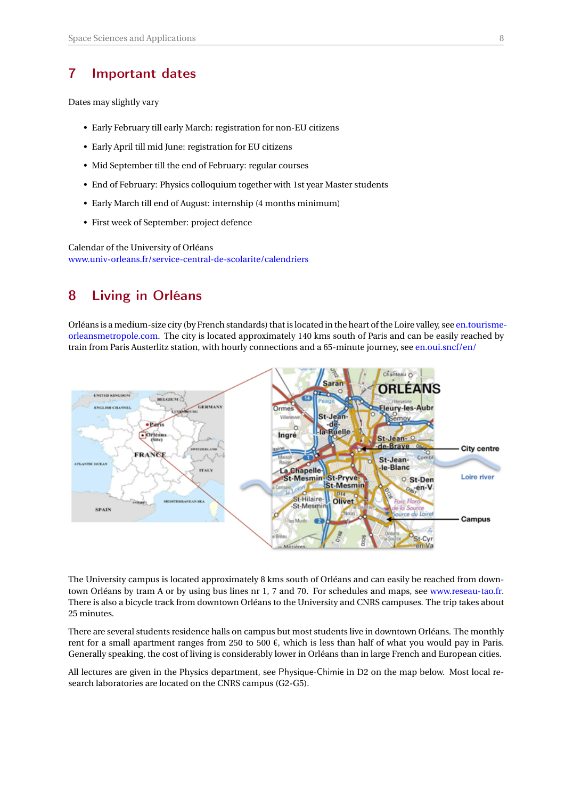### <span id="page-8-0"></span>7 Important dates

Dates may slightly vary

- Early February till early March: registration for non-EU citizens
- Early April till mid June: registration for EU citizens
- Mid September till the end of February: regular courses
- End of February: Physics colloquium together with 1st year Master students
- Early March till end of August: internship (4 months minimum)
- First week of September: project defence

Calendar of the University of Orléans [www.univ-orleans.fr/service-central-de-scolarite/calendriers](http://www.univ-orleans.fr/service-central-de-scolarite/calendriers)

### <span id="page-8-1"></span>8 Living in Orléans

Orléans is a medium-size city (by French standards) that is located in the heart of the Loire valley, see [en.tourisme](https://en.tourisme-orleansmetropole.com/)[orleansmetropole.com.](https://en.tourisme-orleansmetropole.com/) The city is located approximately 140 kms south of Paris and can be easily reached by train from Paris Austerlitz station, with hourly connections and a 65-minute journey, see [en.oui.sncf/en/](https://en.oui.sncf/en/)



The University campus is located approximately 8 kms south of Orléans and can easily be reached from downtown Orléans by tram A or by using bus lines nr 1, 7 and 70. For schedules and maps, see [www.reseau-tao.fr.](http://www.reseau-tao.fr) There is also a bicycle track from downtown Orléans to the University and CNRS campuses. The trip takes about 25 minutes.

There are several students residence halls on campus but most students live in downtown Orléans. The monthly rent for a small apartment ranges from 250 to 500  $\epsilon$ , which is less than half of what you would pay in Paris. Generally speaking, the cost of living is considerably lower in Orléans than in large French and European cities.

All lectures are given in the Physics department, see Physique-Chimie in D2 on the map below. Most local research laboratories are located on the CNRS campus (G2-G5).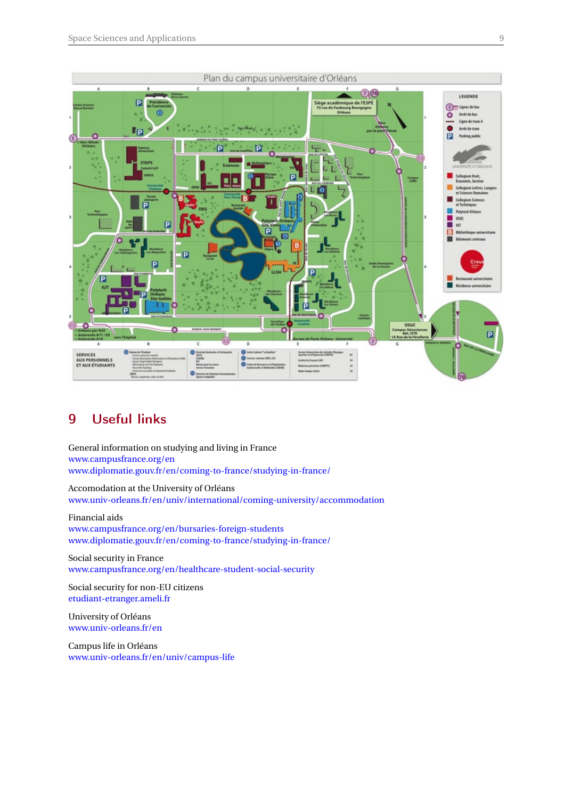

## <span id="page-9-0"></span>9 Useful links

General information on studying and living in France [www.campusfrance.org/en](https://www.campusfrance.org/en) [www.diplomatie.gouv.fr/en/coming-to-france/studying-in-france/](https://www.diplomatie.gouv.fr/en/coming-to-france/studying-in-france/)

Accomodation at the University of Orléans [www.univ-orleans.fr/en/univ/international/coming-university/accommodation](http://www.univ-orleans.fr/en/univ/international/coming-university/accommodation)

Financial aids [www.campusfrance.org/en/bursaries-foreign-students](https://www.campusfrance.org/en/bursaries-foreign-students) [www.diplomatie.gouv.fr/en/coming-to-france/studying-in-france/](https://www.diplomatie.gouv.fr/en/coming-to-france/studying-in-france/)

Social security in France [www.campusfrance.org/en/healthcare-student-social-security](https://www.campusfrance.org/en/healthcare-student-social-security)

Social security for non-EU citizens [etudiant-etranger.ameli.fr](https://etudiant-etranger.ameli.fr)

University of Orléans [www.univ-orleans.fr/en](http://www.univ-orleans.fr/en)

Campus life in Orléans [www.univ-orleans.fr/en/univ/campus-life](http://www.univ-orleans.fr/en/univ/campus-life)